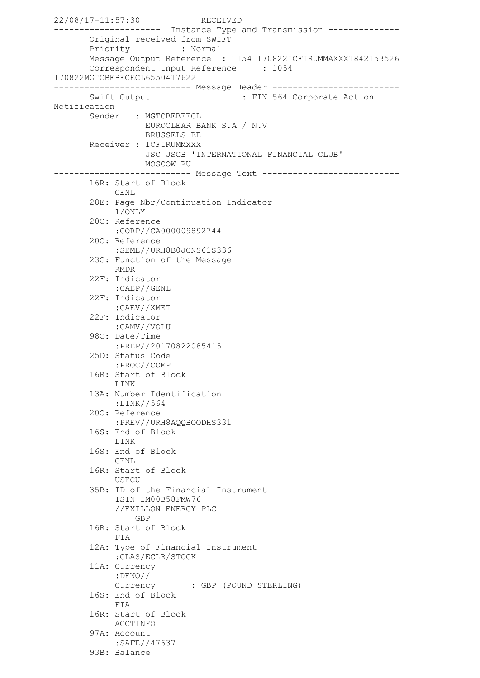22/08/17-11:57:30 RECEIVED --------------------- Instance Type and Transmission -------------- Original received from SWIFT Priority : Normal Message Output Reference : 1154 170822ICFIRUMMAXXX1842153526 Correspondent Input Reference : 1054 170822MGTCBEBECECL6550417622 --------------------------- Message Header ------------------------- Swift Output : FIN 564 Corporate Action Notification Sender : MGTCBEBEECL EUROCLEAR BANK S.A / N.V BRUSSELS BE Receiver : ICFIRUMMXXX JSC JSCB 'INTERNATIONAL FINANCIAL CLUB' MOSCOW RU --------------------------- Message Text --------------------------- 16R: Start of Block GENL 28E: Page Nbr/Continuation Indicator 1/ONLY 20C: Reference :CORP//CA000009892744 20C: Reference :SEME//URH8B0JCNS61S336 23G: Function of the Message RMDR 22F: Indicator :CAEP//GENL 22F: Indicator :CAEV//XMET 22F: Indicator :CAMV//VOLU 98C: Date/Time :PREP//20170822085415 25D: Status Code :PROC//COMP 16R: Start of Block LINK 13A: Number Identification :LINK//564 20C: Reference :PREV//URH8AQQBOODHS331 16S: End of Block LINK 16S: End of Block GENL 16R: Start of Block **USECU**  35B: ID of the Financial Instrument ISIN IM00B58FMW76 //EXILLON ENERGY PLC GBP 16R: Start of Block FIA 12A: Type of Financial Instrument :CLAS/ECLR/STOCK 11A: Currency :DENO// Currency : GBP (POUND STERLING) 16S: End of Block FIA 16R: Start of Block ACCTINFO 97A: Account :SAFE//47637 93B: Balance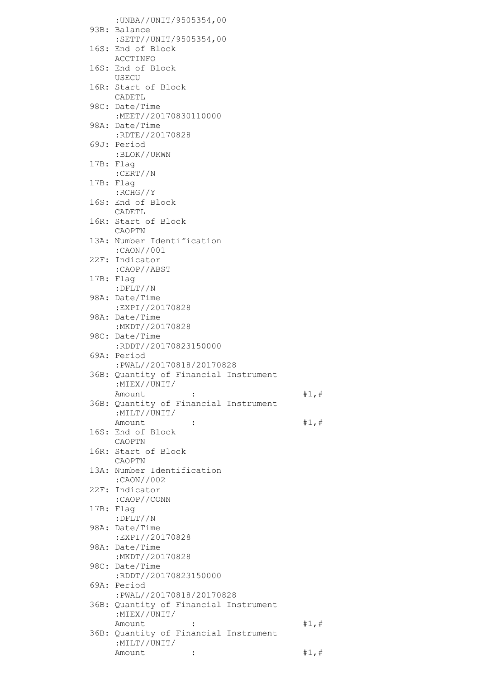| : UNBA//UNIT/9505354,00                 |       |
|-----------------------------------------|-------|
| 93B: Balance                            |       |
| :SETT//UNIT/9505354,00                  |       |
| 16S: End of Block                       |       |
| ACCTINFO                                |       |
| 16S: End of Block                       |       |
| USECU                                   |       |
| 16R: Start of Block                     |       |
| CADETL                                  |       |
| 98C: Date/Time<br>:MEET//20170830110000 |       |
| 98A: Date/Time                          |       |
| :RDTE//20170828                         |       |
| 69J: Period                             |       |
| :BLOK//UKWN                             |       |
| 17B: Flag                               |       |
| :CERT//N                                |       |
| 17B: Flag                               |       |
| :RCHG//Y<br>16S: End of Block           |       |
| CADETL                                  |       |
| 16R: Start of Block                     |       |
| CAOPTN                                  |       |
| 13A: Number Identification              |       |
| :CAON//001                              |       |
| 22F: Indicator                          |       |
| :CAOP//ABST                             |       |
| 17B: Flag                               |       |
| :DFLT//N<br>98A: Date/Time              |       |
| :EXPI//20170828                         |       |
| 98A: Date/Time                          |       |
| :MKDT//20170828                         |       |
| 98C: Date/Time                          |       |
| :RDDT//20170823150000                   |       |
| 69A: Period<br>:PWAL//20170818/20170828 |       |
| 36B: Quantity of Financial Instrument   |       |
| :MIEX//UNIT/                            |       |
| Amount                                  | #1, # |
| 36B: Quantity of Financial Instrument   |       |
| :MILT//UNIT/                            |       |
| Amount<br>:                             | #1, # |
| 16S: End of Block<br>CAOPTN             |       |
| 16R: Start of Block                     |       |
| CAOPTN                                  |       |
| 13A: Number Identification              |       |
| :CAON//002                              |       |
| 22F: Indicator                          |       |
| :CAOP//CONN                             |       |
| 17B: Flag                               |       |
| $:$ $DFLT//N$<br>98A: Date/Time         |       |
| :EXPI//20170828                         |       |
| 98A: Date/Time                          |       |
| :MKDT//20170828                         |       |
| 98C: Date/Time                          |       |
| :RDDT//20170823150000                   |       |
| 69A: Period<br>:PWAL//20170818/20170828 |       |
| 36B: Quantity of Financial Instrument   |       |
| :MIEX//UNIT/                            |       |
| Amount                                  | #1, # |
| 36B: Quantity of Financial Instrument   |       |
| :MILT//UNIT/                            |       |
| Amount<br>$\ddot{\cdot}$                | #1, # |